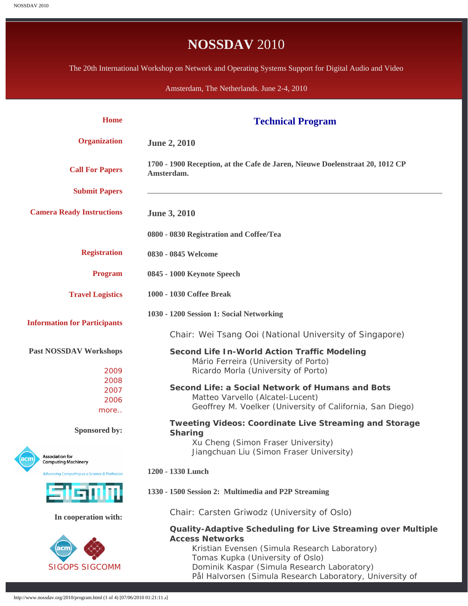# **NOSSDAV** 2010

<span id="page-0-0"></span>The 20th International Workshop on Network and Operating Systems Support for Digital Audio and Video

Amsterdam, The Netherlands. June 2-4, 2010

| <b>Home</b>                                                 | <b>Technical Program</b>                                                                                                                                                                                                                                                               |
|-------------------------------------------------------------|----------------------------------------------------------------------------------------------------------------------------------------------------------------------------------------------------------------------------------------------------------------------------------------|
| <b>Organization</b>                                         | <b>June 2, 2010</b>                                                                                                                                                                                                                                                                    |
| <b>Call For Papers</b>                                      | 1700 - 1900 Reception, at the Cafe de Jaren, Nieuwe Doelenstraat 20, 1012 CP<br>Amsterdam.                                                                                                                                                                                             |
| <b>Submit Papers</b>                                        |                                                                                                                                                                                                                                                                                        |
| <b>Camera Ready Instructions</b>                            | <b>June 3, 2010</b>                                                                                                                                                                                                                                                                    |
|                                                             | 0800 - 0830 Registration and Coffee/Tea                                                                                                                                                                                                                                                |
| <b>Registration</b>                                         | 0830 - 0845 Welcome                                                                                                                                                                                                                                                                    |
| <b>Program</b>                                              | 0845 - 1000 Keynote Speech                                                                                                                                                                                                                                                             |
| <b>Travel Logistics</b>                                     | 1000 - 1030 Coffee Break                                                                                                                                                                                                                                                               |
| <b>Information for Participants</b>                         | 1030 - 1200 Session 1: Social Networking<br>Chair: Wei Tsang Ooi (National University of Singapore)                                                                                                                                                                                    |
| <b>Past NOSSDAV Workshops</b><br>2009                       | <b>Second Life In-World Action Traffic Modeling</b><br>Mário Ferreira (University of Porto)<br>Ricardo Morla (University of Porto)                                                                                                                                                     |
| 2008<br>2007<br>2006<br>more                                | Second Life: a Social Network of Humans and Bots<br>Matteo Varvello (Alcatel-Lucent)<br>Geoffrey M. Voelker (University of California, San Diego)                                                                                                                                      |
| Sponsored by:                                               | <b>Tweeting Videos: Coordinate Live Streaming and Storage</b><br><b>Sharing</b>                                                                                                                                                                                                        |
| <b>Association for</b><br>ıcm<br><b>Computing Machinery</b> | Xu Cheng (Simon Fraser University)<br>Jiangchuan Liu (Simon Fraser University)                                                                                                                                                                                                         |
| <b>Advancing Computing as a Science &amp; Profession</b>    | 1200 - 1330 Lunch                                                                                                                                                                                                                                                                      |
| SIGMA                                                       | 1330 - 1500 Session 2: Multimedia and P2P Streaming                                                                                                                                                                                                                                    |
| In cooperation with:                                        | Chair: Carsten Griwodz (University of Oslo)                                                                                                                                                                                                                                            |
| acm<br><b>SIGOPS SIGCOMM</b>                                | Quality-Adaptive Scheduling for Live Streaming over Multiple<br><b>Access Networks</b><br>Kristian Evensen (Simula Research Laboratory)<br>Tomas Kupka (University of Oslo)<br>Dominik Kaspar (Simula Research Laboratory)<br>Pål Halvorsen (Simula Research Laboratory, University of |

http://www.nossdav.org/2010/program.html (1 of 4) $[07/06/2010\ 01:21:11$   $]$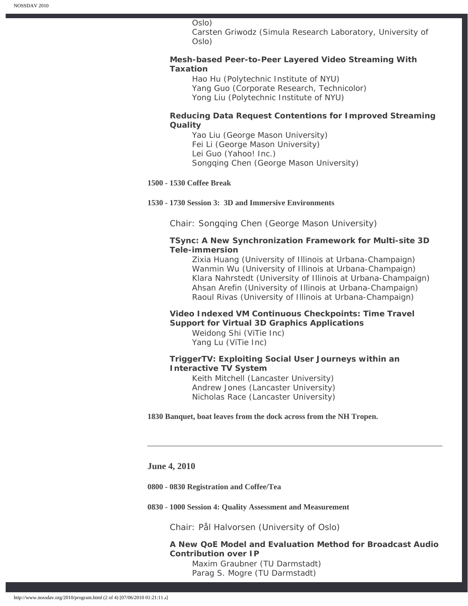#### Oslo)

Carsten Griwodz (Simula Research Laboratory, University of Oslo)

## **Mesh-based Peer-to-Peer Layered Video Streaming With Taxation**

Hao Hu (Polytechnic Institute of NYU) Yang Guo (Corporate Research, Technicolor) Yong Liu (Polytechnic Institute of NYU)

## **Reducing Data Request Contentions for Improved Streaming Quality**

Yao Liu (George Mason University) Fei Li (George Mason University) Lei Guo (Yahoo! Inc.) Songqing Chen (George Mason University)

## **1500 - 1530 Coffee Break**

#### **1530 - 1730 Session 3: 3D and Immersive Environments**

Chair: Songqing Chen (George Mason University)

## **TSync: A New Synchronization Framework for Multi-site 3D Tele-immersion**

Zixia Huang (University of Illinois at Urbana-Champaign) Wanmin Wu (University of Illinois at Urbana-Champaign) Klara Nahrstedt (University of Illinois at Urbana-Champaign) Ahsan Arefin (University of Illinois at Urbana-Champaign) Raoul Rivas (University of Illinois at Urbana-Champaign)

## **Video Indexed VM Continuous Checkpoints: Time Travel Support for Virtual 3D Graphics Applications**

Weidong Shi (ViTie Inc) Yang Lu (ViTie Inc)

## **TriggerTV: Exploiting Social User Journeys within an Interactive TV System**

Keith Mitchell (Lancaster University) Andrew Jones (Lancaster University) Nicholas Race (Lancaster University)

**1830 Banquet, boat leaves from the dock across from the NH Tropen.** 

### **June 4, 2010**

**0800 - 0830 Registration and Coffee/Tea** 

**0830 - 1000 Session 4: Quality Assessment and Measurement**

Chair: Pål Halvorsen (University of Oslo)

## **A New QoE Model and Evaluation Method for Broadcast Audio Contribution over IP** Maxim Graubner (TU Darmstadt)

Parag S. Mogre (TU Darmstadt)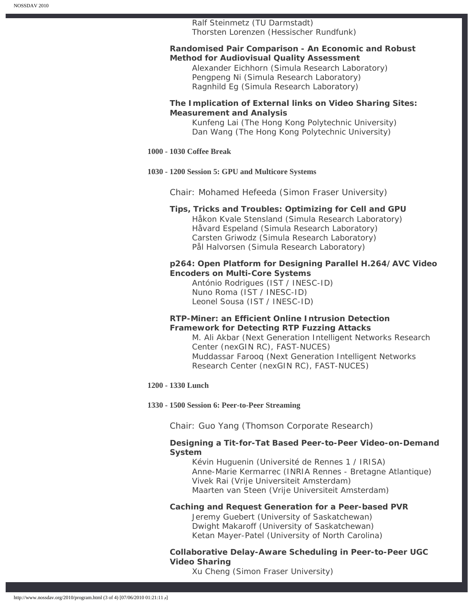## Ralf Steinmetz (TU Darmstadt)

Thorsten Lorenzen (Hessischer Rundfunk)

## **Randomised Pair Comparison - An Economic and Robust Method for Audiovisual Quality Assessment**

Alexander Eichhorn (Simula Research Laboratory) Pengpeng Ni (Simula Research Laboratory) Ragnhild Eg (Simula Research Laboratory)

## **The Implication of External links on Video Sharing Sites: Measurement and Analysis**

Kunfeng Lai (The Hong Kong Polytechnic University) Dan Wang (The Hong Kong Polytechnic University)

## **1000 - 1030 Coffee Break**

#### **1030 - 1200 Session 5: GPU and Multicore Systems**

Chair: Mohamed Hefeeda (Simon Fraser University)

#### **Tips, Tricks and Troubles: Optimizing for Cell and GPU**

Håkon Kvale Stensland (Simula Research Laboratory) Håvard Espeland (Simula Research Laboratory) Carsten Griwodz (Simula Research Laboratory) Pål Halvorsen (Simula Research Laboratory)

## **p264: Open Platform for Designing Parallel H.264/AVC Video Encoders on Multi-Core Systems**

António Rodrigues (IST / INESC-ID) Nuno Roma (IST / INESC-ID) Leonel Sousa (IST / INESC-ID)

## **RTP-Miner: an Efficient Online Intrusion Detection Framework for Detecting RTP Fuzzing Attacks**

M. Ali Akbar (Next Generation Intelligent Networks Research Center (nexGIN RC), FAST-NUCES) Muddassar Farooq (Next Generation Intelligent Networks Research Center (nexGIN RC), FAST-NUCES)

#### **1200 - 1330 Lunch**

#### **1330 - 1500 Session 6: Peer-to-Peer Streaming**

Chair: Guo Yang (Thomson Corporate Research)

## **Designing a Tit-for-Tat Based Peer-to-Peer Video-on-Demand System**

Kévin Huguenin (Université de Rennes 1 / IRISA) Anne-Marie Kermarrec (INRIA Rennes - Bretagne Atlantique) Vivek Rai (Vrije Universiteit Amsterdam) Maarten van Steen (Vrije Universiteit Amsterdam)

## **Caching and Request Generation for a Peer-based PVR**

Jeremy Guebert (University of Saskatchewan) Dwight Makaroff (University of Saskatchewan) Ketan Mayer-Patel (University of North Carolina)

# **Collaborative Delay-Aware Scheduling in Peer-to-Peer UGC Video Sharing**

Xu Cheng (Simon Fraser University)